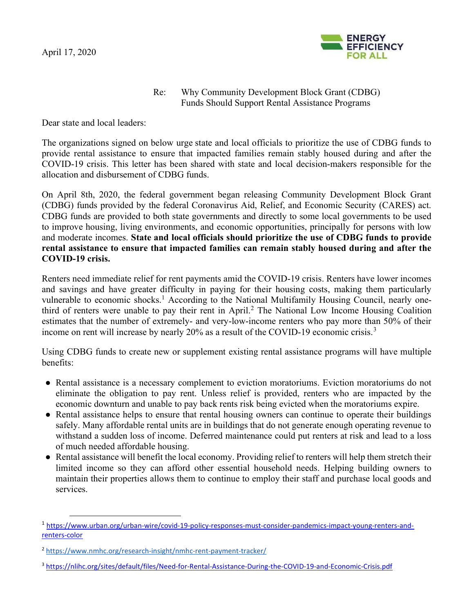

## Re: Why Community Development Block Grant (CDBG) Funds Should Support Rental Assistance Programs

Dear state and local leaders:

The organizations signed on below urge state and local officials to prioritize the use of CDBG funds to provide rental assistance to ensure that impacted families remain stably housed during and after the COVID-19 crisis. This letter has been shared with state and local decision-makers responsible for the allocation and disbursement of CDBG funds.

On April 8th, 2020, the federal government began releasing Community Development Block Grant (CDBG) funds provided by the federal Coronavirus Aid, Relief, and Economic Security (CARES) act. CDBG funds are provided to both state governments and directly to some local governments to be used to improve housing, living environments, and economic opportunities, principally for persons with low and moderate incomes. State and local officials should prioritize the use of CDBG funds to provide rental assistance to ensure that impacted families can remain stably housed during and after the COVID-19 crisis.

Renters need immediate relief for rent payments amid the COVID-19 crisis. Renters have lower incomes and savings and have greater difficulty in paying for their housing costs, making them particularly vulnerable to economic shocks.<sup>1</sup> According to the National Multifamily Housing Council, nearly onethird of renters were unable to pay their rent in April.<sup>2</sup> The National Low Income Housing Coalition estimates that the number of extremely- and very-low-income renters who pay more than 50% of their income on rent will increase by nearly 20% as a result of the COVID-19 economic crisis.<sup>3</sup>

Using CDBG funds to create new or supplement existing rental assistance programs will have multiple benefits:

- Rental assistance is a necessary complement to eviction moratoriums. Eviction moratoriums do not eliminate the obligation to pay rent. Unless relief is provided, renters who are impacted by the economic downturn and unable to pay back rents risk being evicted when the moratoriums expire.
- Rental assistance helps to ensure that rental housing owners can continue to operate their buildings safely. Many affordable rental units are in buildings that do not generate enough operating revenue to withstand a sudden loss of income. Deferred maintenance could put renters at risk and lead to a loss of much needed affordable housing.
- Rental assistance will benefit the local economy. Providing relief to renters will help them stretch their limited income so they can afford other essential household needs. Helping building owners to maintain their properties allows them to continue to employ their staff and purchase local goods and services.

<sup>1</sup> https://www.urban.org/urban-wire/covid-19-policy-responses-must-consider-pandemics-impact-young-renters-andrenters-color

<sup>2</sup> https://www.nmhc.org/research-insight/nmhc-rent-payment-tracker/

<sup>3</sup> https://nlihc.org/sites/default/files/Need-for-Rental-Assistance-During-the-COVID-19-and-Economic-Crisis.pdf